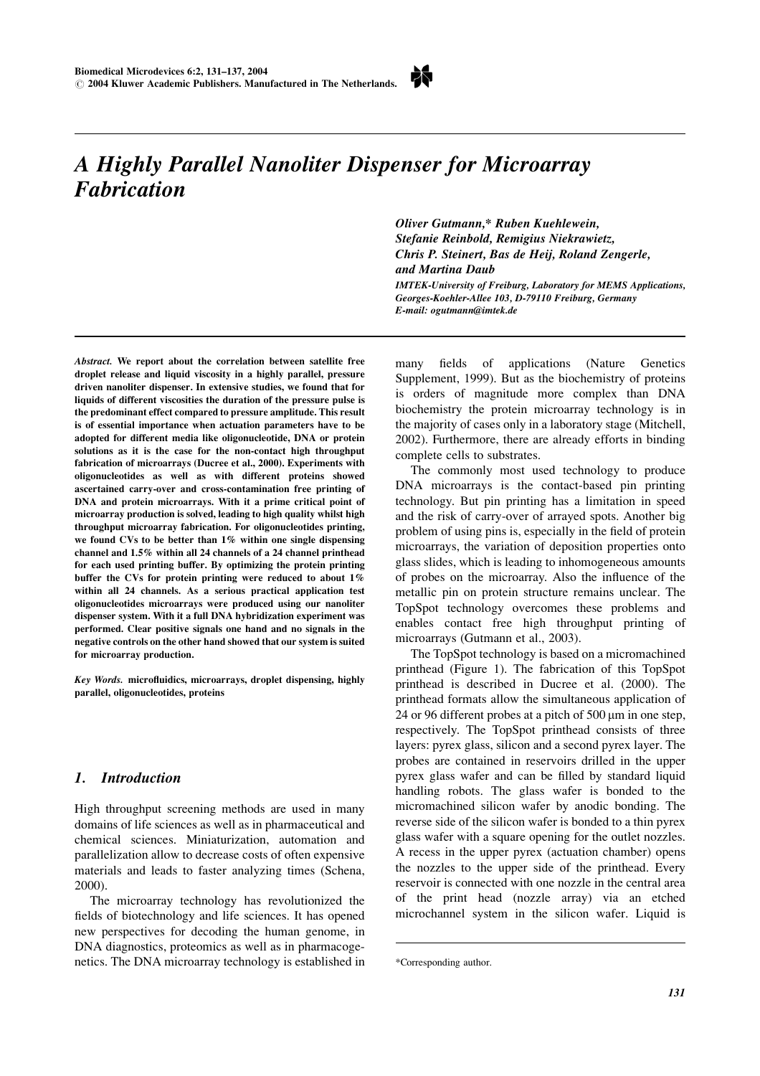

Ŕ

Oliver Gutmann,\* Ruben Kuehlewein, Stefanie Reinbold, Remigius Niekrawietz, Chris P. Steinert, Bas de Heij, Roland Zengerle, and Martina Daub **IMTEK-University of Freiburg, Laboratory for MEMS Applications,** Georges-Koehler-Allee 103, D-79110 Freiburg, Germany E-mail: ogutmann@imtek.de

Abstract. We report about the correlation between satellite free droplet release and liquid viscosity in a highly parallel, pressure driven nanoliter dispenser. In extensive studies, we found that for liquids of different viscosities the duration of the pressure pulse is the predominant effect compared to pressure amplitude. This result is of essential importance when actuation parameters have to be adopted for different media like oligonucleotide, DNA or protein solutions as it is the case for the non-contact high throughput fabrication of microarrays (Ducree et al., 2000). Experiments with oligonucleotides as well as with different proteins showed ascertained carry-over and cross-contamination free printing of DNA and protein microarrays. With it a prime critical point of microarray production is solved, leading to high quality whilst high throughput microarray fabrication. For oligonucleotides printing, we found CVs to be better than 1% within one single dispensing channel and 1.5% within all 24 channels of a 24 channel printhead for each used printing buffer. By optimizing the protein printing buffer the CVs for protein printing were reduced to about 1% within all 24 channels. As a serious practical application test oligonucleotides microarrays were produced using our nanoliter dispenser system. With it a full DNA hybridization experiment was performed. Clear positive signals one hand and no signals in the negative controls on the other hand showed that our system is suited for microarray production.

Key Words. microfluidics, microarrays, droplet dispensing, highly parallel, oligonucleotides, proteins

### $\mathbf{I}$ **Introduction**

High throughput screening methods are used in many domains of life sciences as well as in pharmaceutical and chemical sciences. Miniaturization, automation and parallelization allow to decrease costs of often expensive materials and leads to faster analyzing times (Schena, 2000).

The microarray technology has revolutionized the fields of biotechnology and life sciences. It has opened new perspectives for decoding the human genome, in DNA diagnostics, proteomics as well as in pharmacogenetics. The DNA microarray technology is established in

fields of applications (Nature Genetics many Supplement, 1999). But as the biochemistry of proteins is orders of magnitude more complex than DNA biochemistry the protein microarray technology is in the majority of cases only in a laboratory stage (Mitchell, 2002). Furthermore, there are already efforts in binding complete cells to substrates.

The commonly most used technology to produce DNA microarrays is the contact-based pin printing technology. But pin printing has a limitation in speed and the risk of carry-over of arrayed spots. Another big problem of using pins is, especially in the field of protein microarrays, the variation of deposition properties onto glass slides, which is leading to inhomogeneous amounts of probes on the microarray. Also the influence of the metallic pin on protein structure remains unclear. The TopSpot technology overcomes these problems and enables contact free high throughput printing of microarrays (Gutmann et al., 2003).

The TopSpot technology is based on a micromachined printhead (Figure 1). The fabrication of this TopSpot printhead is described in Ducree et al. (2000). The printhead formats allow the simultaneous application of 24 or 96 different probes at a pitch of  $500 \mu m$  in one step, respectively. The TopSpot printhead consists of three layers: pyrex glass, silicon and a second pyrex layer. The probes are contained in reservoirs drilled in the upper pyrex glass wafer and can be filled by standard liquid handling robots. The glass wafer is bonded to the micromachined silicon wafer by anodic bonding. The reverse side of the silicon wafer is bonded to a thin pyrex glass wafer with a square opening for the outlet nozzles. A recess in the upper pyrex (actuation chamber) opens the nozzles to the upper side of the printhead. Every reservoir is connected with one nozzle in the central area of the print head (nozzle array) via an etched microchannel system in the silicon wafer. Liquid is

<sup>\*</sup>Corresponding author.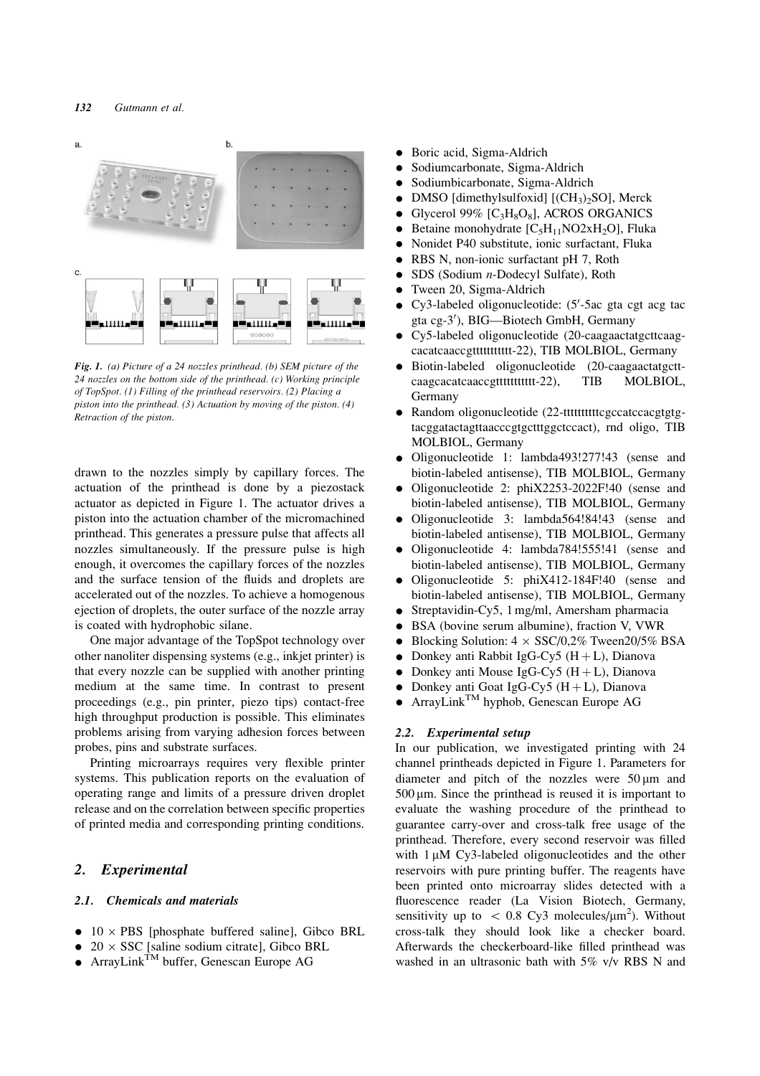

Fig. 1. (a) Picture of a 24 nozzles printhead. (b) SEM picture of the 24 nozzles on the bottom side of the printhead. (c) Working principle of TopSpot. (1) Filling of the printhead reservoirs. (2) Placing a piston into the printhead. (3) Actuation by moving of the piston.  $(4)$ Retraction of the piston.

drawn to the nozzles simply by capillary forces. The actuation of the printhead is done by a piezostack actuator as depicted in Figure 1. The actuator drives a piston into the actuation chamber of the micromachined printhead. This generates a pressure pulse that affects all nozzles simultaneously. If the pressure pulse is high enough, it overcomes the capillary forces of the nozzles and the surface tension of the fluids and droplets are accelerated out of the nozzles. To achieve a homogenous ejection of droplets, the outer surface of the nozzle array is coated with hydrophobic silane.

One major advantage of the TopSpot technology over other nanoliter dispensing systems (e.g., inkjet printer) is that every nozzle can be supplied with another printing medium at the same time. In contrast to present proceedings (e.g., pin printer, piezo tips) contact-free high throughput production is possible. This eliminates problems arising from varying adhesion forces between probes, pins and substrate surfaces.

Printing microarrays requires very flexible printer systems. This publication reports on the evaluation of operating range and limits of a pressure driven droplet release and on the correlation between specific properties of printed media and corresponding printing conditions.

### *Experimental* 2.

#### **Chemicals and materials**  $2.1.$

- $10 \times PBS$  [phosphate buffered saline]. Gibco BRL  $\bullet$
- $20 \times$  SSC [saline sodium citrate]. Gibco BRL
- $ArrayLink^{TM}$  buffer, Genescan Europe AG
- Boric acid, Sigma-Aldrich
- Sodiumcarbonate, Sigma-Aldrich
- Sodiumbicarbonate, Sigma-Aldrich
- DMSO [dimethylsulfoxid]  $[(CH<sub>3</sub>)<sub>2</sub>SO]$ , Merck
- Glycerol 99%  $[C_3H_8O_8]$ , ACROS ORGANICS  $\bullet$
- Betaine monohydrate  $[C_5H_{11}NO2xH_2O]$ , Fluka
- Nonidet P40 substitute, ionic surfactant, Fluka
- RBS N, non-ionic surfactant pH 7, Roth
- SDS (Sodium n-Dodecyl Sulfate), Roth  $\bullet$
- Tween 20, Sigma-Aldrich
- Cy3-labeled oligonucleotide:  $(5'$ -5ac gta cgt acg tac gta cg-3'), BIG-Biotech GmbH, Germany
- Cy5-labeled oligonucleotide (20-caagaactatgcttcaagcacatcaaccgtttttttttttt-22), TIB MOLBIOL, Germany
- Biotin-labeled oligonucleotide (20-caagaactatgctt- $\bullet$ **TIB** MOLBIOL. caagcacatcaaccgtttttttttttt-22), Germany
- Random oligonucleotide (22-tttttttttttcgccatccacgtgtgtacggatactagttaacccgtgctttggctccact), rnd oligo, TIB MOLBIOL, Germany
- Oligonucleotide 1: lambda493!277!43 (sense and biotin-labeled antisense), TIB MOLBIOL, Germany
- Oligonucleotide 2: phiX2253-2022F!40 (sense and biotin-labeled antisense), TIB MOLBIOL, Germany
- Oligonucleotide 3: lambda564!84!43 (sense and biotin-labeled antisense), TIB MOLBIOL, Germany
- Oligonucleotide 4: lambda784!555!41 (sense and biotin-labeled antisense), TIB MOLBIOL, Germany
- Oligonucleotide 5: phiX412-184F!40 (sense and biotin-labeled antisense), TIB MOLBIOL, Germany
- Streptavidin-Cy5, 1 mg/ml, Amersham pharmacia
- BSA (bovine serum albumine), fraction V, VWR
- $\bullet$ Blocking Solution:  $4 \times$  SSC/0,2% Tween20/5% BSA
- Donkey anti Rabbit IgG-Cv5  $(H + L)$ . Dianova  $\bullet$
- Donkey anti Mouse IgG-Cy5  $(H + L)$ , Dianova  $\bullet$
- Donkey anti Goat IgG-Cy5  $(H + L)$ , Dianova  $\bullet$
- ArrayLink<sup>TM</sup> hyphob, Genescan Europe AG  $\bullet$

## 2.2. Experimental setup

In our publication, we investigated printing with 24 channel printheads depicted in Figure 1. Parameters for diameter and pitch of the nozzles were  $50 \mu m$  and  $500 \mu m$ . Since the printhead is reused it is important to evaluate the washing procedure of the printhead to guarantee carry-over and cross-talk free usage of the printhead. Therefore, every second reservoir was filled with 1 µM Cy3-labeled oligonucleotides and the other reservoirs with pure printing buffer. The reagents have been printed onto microarray slides detected with a fluorescence reader (La Vision Biotech, Germany, sensitivity up to  $\langle 0.8 \text{ Cy} 3 \text{ molecules/}\mu\text{m}^2 \rangle$ . Without cross-talk they should look like a checker board. Afterwards the checkerboard-like filled printhead was washed in an ultrasonic bath with 5% v/v RBS N and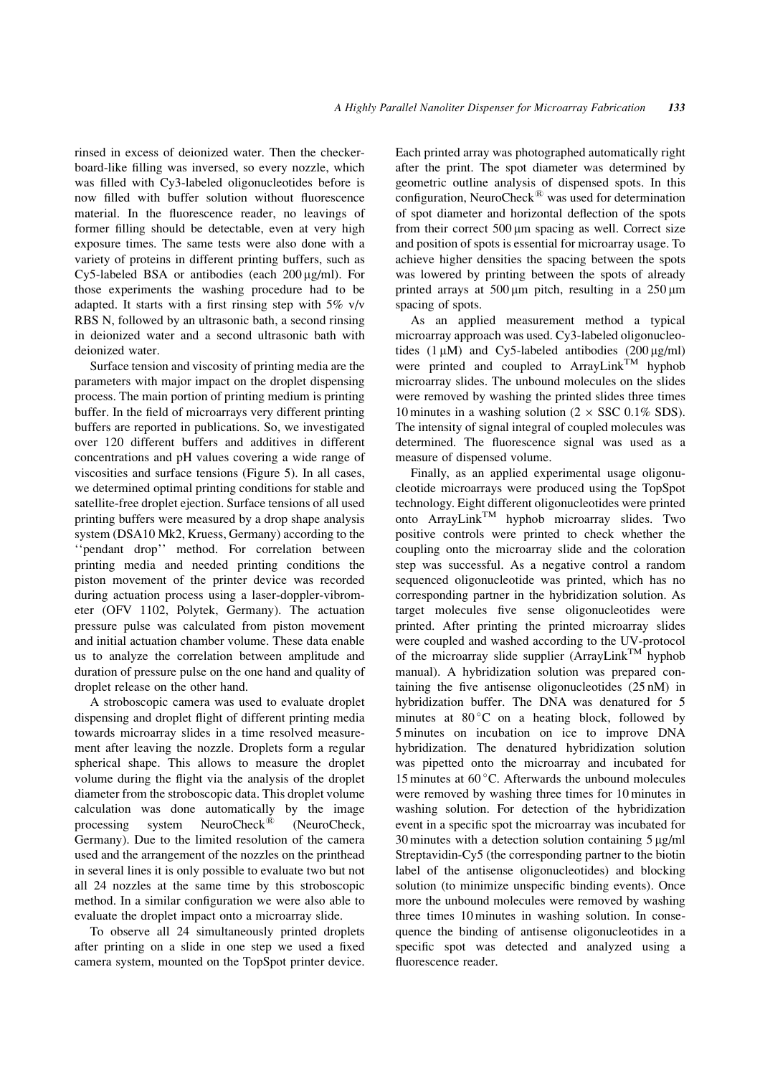rinsed in excess of deionized water. Then the checkerboard-like filling was inversed, so every nozzle, which was filled with Cy3-labeled oligonucleotides before is now filled with buffer solution without fluorescence material. In the fluorescence reader, no leavings of former filling should be detectable, even at very high exposure times. The same tests were also done with a variety of proteins in different printing buffers, such as Cy5-labeled BSA or antibodies (each 200 µg/ml). For those experiments the washing procedure had to be adapted. It starts with a first rinsing step with  $5\%$  v/v RBS N, followed by an ultrasonic bath, a second rinsing in deionized water and a second ultrasonic bath with deionized water.

Surface tension and viscosity of printing media are the parameters with major impact on the droplet dispensing process. The main portion of printing medium is printing buffer. In the field of microarrays very different printing buffers are reported in publications. So, we investigated over 120 different buffers and additives in different concentrations and pH values covering a wide range of viscosities and surface tensions (Figure 5). In all cases, we determined optimal printing conditions for stable and satellite-free droplet ejection. Surface tensions of all used printing buffers were measured by a drop shape analysis system (DSA10 Mk2, Kruess, Germany) according to the "pendant drop" method. For correlation between printing media and needed printing conditions the piston movement of the printer device was recorded during actuation process using a laser-doppler-vibrometer (OFV 1102, Polytek, Germany). The actuation pressure pulse was calculated from piston movement and initial actuation chamber volume. These data enable us to analyze the correlation between amplitude and duration of pressure pulse on the one hand and quality of droplet release on the other hand.

A stroboscopic camera was used to evaluate droplet dispensing and droplet flight of different printing media towards microarray slides in a time resolved measurement after leaving the nozzle. Droplets form a regular spherical shape. This allows to measure the droplet volume during the flight via the analysis of the droplet diameter from the stroboscopic data. This droplet volume calculation was done automatically by the image NeuroCheck<sup>®</sup> system (NeuroCheck, processing Germany). Due to the limited resolution of the camera used and the arrangement of the nozzles on the printhead in several lines it is only possible to evaluate two but not all 24 nozzles at the same time by this stroboscopic method. In a similar configuration we were also able to evaluate the droplet impact onto a microarray slide.

To observe all 24 simultaneously printed droplets after printing on a slide in one step we used a fixed camera system, mounted on the TopSpot printer device. Each printed array was photographed automatically right after the print. The spot diameter was determined by geometric outline analysis of dispensed spots. In this configuration, NeuroCheck<sup> $\mathbb{B}$ </sup> was used for determination of spot diameter and horizontal deflection of the spots from their correct 500 µm spacing as well. Correct size and position of spots is essential for microarray usage. To achieve higher densities the spacing between the spots was lowered by printing between the spots of already printed arrays at 500  $\mu$ m pitch, resulting in a 250  $\mu$ m spacing of spots.

As an applied measurement method a typical microarray approach was used. Cy3-labeled oligonucleotides  $(1 \mu M)$  and Cy5-labeled antibodies  $(200 \mu g/ml)$ were printed and coupled to ArrayLink<sup>TM</sup> hyphob microarray slides. The unbound molecules on the slides were removed by washing the printed slides three times 10 minutes in a washing solution ( $2 \times$  SSC 0.1% SDS). The intensity of signal integral of coupled molecules was determined. The fluorescence signal was used as a measure of dispensed volume.

Finally, as an applied experimental usage oligonucleotide microarrays were produced using the TopSpot technology. Eight different oligonucleotides were printed onto ArrayLink<sup>TM</sup> hyphob microarray slides. Two positive controls were printed to check whether the coupling onto the microarray slide and the coloration step was successful. As a negative control a random sequenced oligonucleotide was printed, which has no corresponding partner in the hybridization solution. As target molecules five sense oligonucleotides were printed. After printing the printed microarray slides were coupled and washed according to the UV-protocol of the microarray slide supplier (ArrayLink<sup>TM</sup> hyphob manual). A hybridization solution was prepared containing the five antisense oligonucleotides  $(25 \text{ nM})$  in hybridization buffer. The DNA was denatured for 5 minutes at 80°C on a heating block, followed by 5 minutes on incubation on ice to improve DNA hybridization. The denatured hybridization solution was pipetted onto the microarray and incubated for 15 minutes at  $60^{\circ}$ C. Afterwards the unbound molecules were removed by washing three times for 10 minutes in washing solution. For detection of the hybridization event in a specific spot the microarray was incubated for 30 minutes with a detection solution containing  $5 \mu g/ml$ Streptavidin-Cy5 (the corresponding partner to the biotin label of the antisense oligonucleotides) and blocking solution (to minimize unspecific binding events). Once more the unbound molecules were removed by washing three times 10 minutes in washing solution. In consequence the binding of antisense oligonucleotides in a specific spot was detected and analyzed using a fluorescence reader.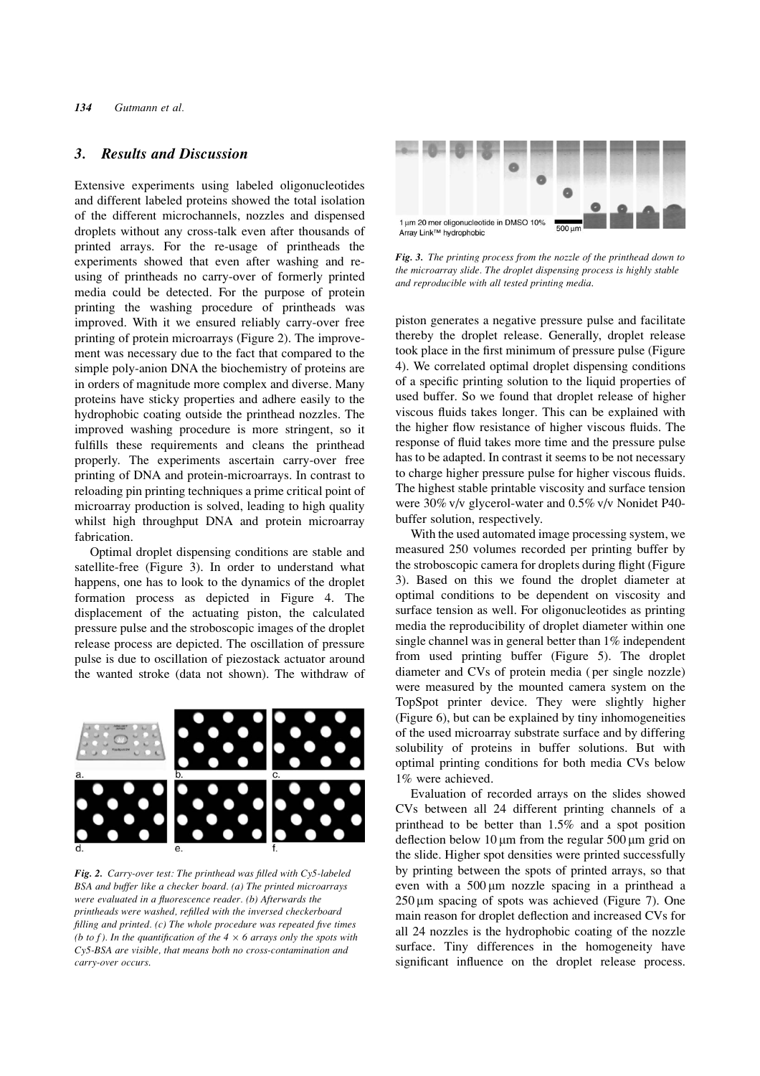#### **Results and Discussion** 3.

Extensive experiments using labeled oligonucleotides and different labeled proteins showed the total isolation of the different microchannels, nozzles and dispensed droplets without any cross-talk even after thousands of printed arrays. For the re-usage of printheads the experiments showed that even after washing and reusing of printheads no carry-over of formerly printed media could be detected. For the purpose of protein printing the washing procedure of printheads was improved. With it we ensured reliably carry-over free printing of protein microarrays (Figure 2). The improvement was necessary due to the fact that compared to the simple poly-anion DNA the biochemistry of proteins are in orders of magnitude more complex and diverse. Many proteins have sticky properties and adhere easily to the hydrophobic coating outside the printhead nozzles. The improved washing procedure is more stringent, so it fulfills these requirements and cleans the printhead properly. The experiments ascertain carry-over free printing of DNA and protein-microarrays. In contrast to reloading pin printing techniques a prime critical point of microarray production is solved, leading to high quality whilst high throughput DNA and protein microarray fabrication.

Optimal droplet dispensing conditions are stable and satellite-free (Figure 3). In order to understand what happens, one has to look to the dynamics of the droplet formation process as depicted in Figure 4. The displacement of the actuating piston, the calculated pressure pulse and the stroboscopic images of the droplet release process are depicted. The oscillation of pressure pulse is due to oscillation of piezostack actuator around the wanted stroke (data not shown). The withdraw of



Fig. 2. Carry-over test: The printhead was filled with Cy5-labeled BSA and buffer like a checker board. (a) The printed microarrays were evaluated in a fluorescence reader. (b) Afterwards the printheads were washed, refilled with the inversed checkerboard filling and printed.  $(c)$  The whole procedure was repeated five times (b to f). In the quantification of the  $4 \times 6$  arrays only the spots with Cy5-BSA are visible, that means both no cross-contamination and carry-over occurs.



Fig. 3. The printing process from the nozzle of the printhead down to the microarray slide. The droplet dispensing process is highly stable and reproducible with all tested printing media.

piston generates a negative pressure pulse and facilitate thereby the droplet release. Generally, droplet release took place in the first minimum of pressure pulse (Figure 4). We correlated optimal droplet dispensing conditions of a specific printing solution to the liquid properties of used buffer. So we found that droplet release of higher viscous fluids takes longer. This can be explained with the higher flow resistance of higher viscous fluids. The response of fluid takes more time and the pressure pulse has to be adapted. In contrast it seems to be not necessary to charge higher pressure pulse for higher viscous fluids. The highest stable printable viscosity and surface tension were 30% v/v glycerol-water and 0.5% v/v Nonidet P40buffer solution, respectively.

With the used automated image processing system, we measured 250 volumes recorded per printing buffer by the stroboscopic camera for droplets during flight (Figure 3). Based on this we found the droplet diameter at optimal conditions to be dependent on viscosity and surface tension as well. For oligonucleotides as printing media the reproducibility of droplet diameter within one single channel was in general better than 1% independent from used printing buffer (Figure 5). The droplet diameter and CVs of protein media (per single nozzle) were measured by the mounted camera system on the TopSpot printer device. They were slightly higher (Figure 6), but can be explained by tiny inhomogeneities of the used microarray substrate surface and by differing solubility of proteins in buffer solutions. But with optimal printing conditions for both media CVs below 1% were achieved.

Evaluation of recorded arrays on the slides showed CVs between all 24 different printing channels of a printhead to be better than 1.5% and a spot position deflection below 10  $\mu$ m from the regular 500  $\mu$ m grid on the slide. Higher spot densities were printed successfully by printing between the spots of printed arrays, so that even with a  $500 \mu m$  nozzle spacing in a printhead a  $250 \,\mu m$  spacing of spots was achieved (Figure 7). One main reason for droplet deflection and increased CVs for all 24 nozzles is the hydrophobic coating of the nozzle surface. Tiny differences in the homogeneity have significant influence on the droplet release process.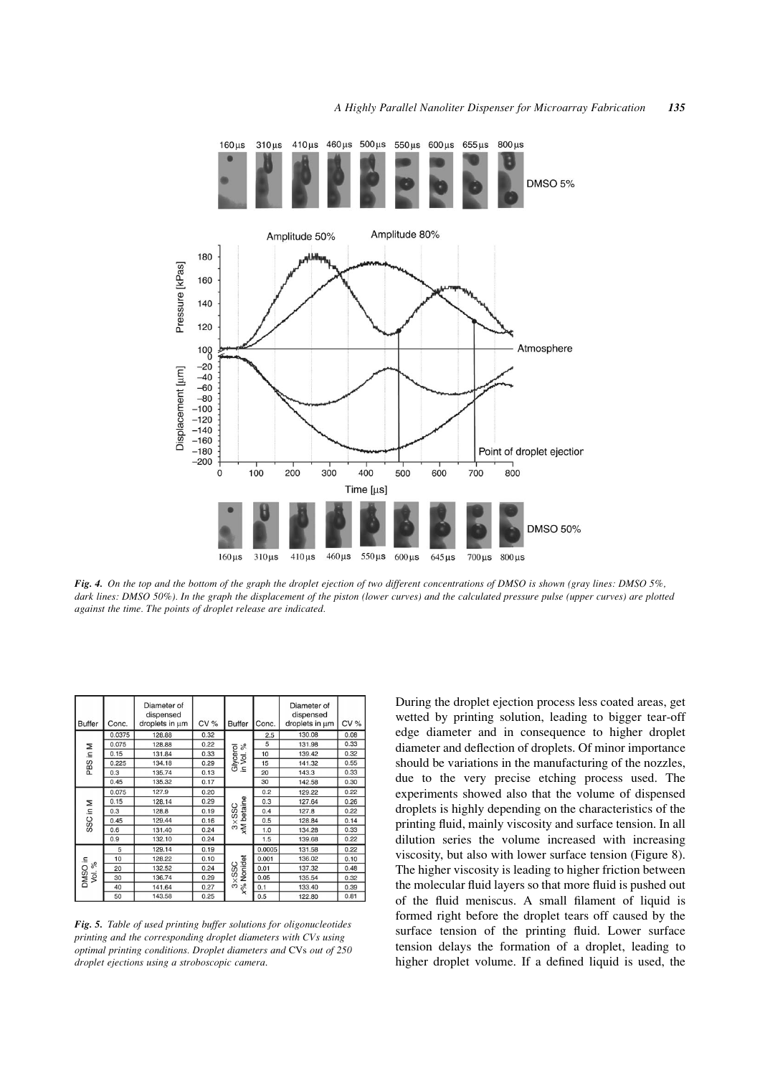

Fig. 4. On the top and the bottom of the graph the droplet ejection of two different concentrations of DMSO is shown (gray lines: DMSO 5%, dark lines: DMSO 50%). In the graph the displacement of the piston (lower curves) and the calculated pressure pulse (upper curves) are plotted against the time. The points of droplet release are indicated.

| <b>Buffer</b>                           | Conc.  | Diameter of<br>dispensed<br>droplets in um | CV%  | <b>Buffer</b>                        | Conc.  | Diameter of<br>dispensed<br>droplets in um | CV%  |
|-----------------------------------------|--------|--------------------------------------------|------|--------------------------------------|--------|--------------------------------------------|------|
| PBS in M                                | 0.0375 | 128.88                                     | 0.32 | $\sqrt{6}$<br>Glycerol<br>yoi.<br>Ξ. | 2.5    | 130.08                                     | 0.08 |
|                                         | 0.075  | 128.88                                     | 0.22 |                                      | 5      | 131.98                                     | 0.33 |
|                                         | 0.15   | 131.84                                     | 0.33 |                                      | 10     | 139.42                                     | 0.32 |
|                                         | 0.225  | 134.18                                     | 0.29 |                                      | 15     | 141.32                                     | 0.55 |
|                                         | 0.3    | 135.74                                     | 0.13 |                                      | 20     | 143.3                                      | 0.33 |
|                                         | 0.45   | 135.32                                     | 0.17 |                                      | 30     | 142.58                                     | 0.30 |
| SSC in M                                | 0.075  | 127.9                                      | 0.20 | betaine<br>$3\times$ SSC<br>ΧW       | 0.2    | 129.22                                     | 0.22 |
|                                         | 0.15   | 128.14                                     | 0.29 |                                      | 0.3    | 127.64                                     | 0.26 |
|                                         | 0.3    | 128.8                                      | 0.19 |                                      | 0.4    | 127.8                                      | 0.22 |
|                                         | 0.45   | 129.44                                     | 0.16 |                                      | 0.5    | 128.84                                     | 0.14 |
|                                         | 0.6    | 131.40                                     | 0.24 |                                      | 1.0    | 134.28                                     | 0.33 |
|                                         | 0.9    | 132.10                                     | 0.24 |                                      | 1.5    | 139.68                                     | 0.22 |
| 으.<br>$\sqrt{6}$<br><b>DMSO</b><br>yol. | 5      | 129.14                                     | 0.19 | Nonidet<br>$3\times$ SSC<br>$x\%$    | 0.0005 | 131.58                                     | 0.22 |
|                                         | 10     | 128.22                                     | 0.10 |                                      | 0.001  | 136.02                                     | 0.10 |
|                                         | 20     | 132.52                                     | 0.24 |                                      | 0.01   | 137.32                                     | 0.48 |
|                                         | 30     | 136.74                                     | 0.29 |                                      | 0.05   | 135.54                                     | 0.32 |
|                                         | 40     | 141.64                                     | 0.27 |                                      | 0.1    | 133.40                                     | 0.39 |
|                                         | 50     | 143.58                                     | 0.25 |                                      | 0.5    | 122.80                                     | 0.81 |

Fig. 5. Table of used printing buffer solutions for oligonucleotides printing and the corresponding droplet diameters with CVs using optimal printing conditions. Droplet diameters and CVs out of 250 droplet ejections using a stroboscopic camera.

During the droplet ejection process less coated areas, get wetted by printing solution, leading to bigger tear-off edge diameter and in consequence to higher droplet diameter and deflection of droplets. Of minor importance should be variations in the manufacturing of the nozzles, due to the very precise etching process used. The experiments showed also that the volume of dispensed droplets is highly depending on the characteristics of the printing fluid, mainly viscosity and surface tension. In all dilution series the volume increased with increasing viscosity, but also with lower surface tension (Figure 8). The higher viscosity is leading to higher friction between the molecular fluid layers so that more fluid is pushed out of the fluid meniscus. A small filament of liquid is formed right before the droplet tears off caused by the surface tension of the printing fluid. Lower surface tension delays the formation of a droplet, leading to higher droplet volume. If a defined liquid is used, the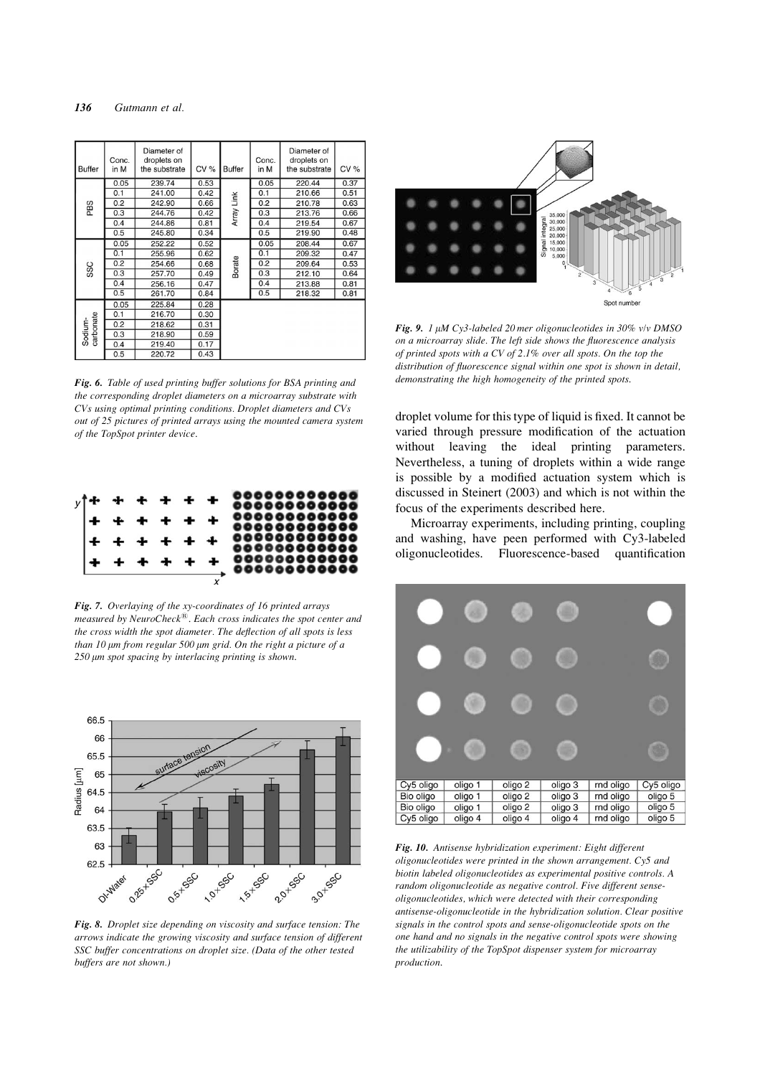| <b>Buffer</b>        | Conc.<br>in M | Diameter of<br>droplets on<br>the substrate | CV%  | <b>Buffer</b> | Conc.<br>in M | Diameter of<br>droplets on<br>the substrate | CV%  |
|----------------------|---------------|---------------------------------------------|------|---------------|---------------|---------------------------------------------|------|
| PBS                  | 0.05          | 239.74                                      | 0.53 | Array Link    | 0.05          | 220.44                                      | 0.37 |
|                      | 0.1           | 241.00                                      | 0.42 |               | 0.1           | 210.66                                      | 0.51 |
|                      | 0.2           | 242.90                                      | 0.66 |               | 0.2           | 210.78                                      | 0.63 |
|                      | 0.3           | 244.76                                      | 0.42 |               | 0.3           | 213.76                                      | 0.66 |
|                      | 0.4           | 244.86                                      | 0.81 |               | 0.4           | 219.54                                      | 0.67 |
|                      | 0.5           | 245.80                                      | 0.34 |               | 0.5           | 219.90                                      | 0.48 |
|                      | 0.05          | 252.22                                      | 0.52 | Borate        | 0.05          | 208.44                                      | 0.67 |
| SSC                  | 0.1           | 255.96                                      | 0.62 |               | 0.1           | 209.32                                      | 0.47 |
|                      | 0.2           | 254.66                                      | 0.68 |               | 0.2           | 209.64                                      | 0.53 |
|                      | 0.3           | 257.70                                      | 0.49 |               | 0.3           | 212.10                                      | 0.64 |
|                      | 0.4           | 256.16                                      | 0.47 |               | 0.4           | 213.88                                      | 0.81 |
|                      | 0.5           | 261.70                                      | 0.84 |               | 0.5           | 218.32                                      | 0.81 |
| carbonate<br>Sodium- | 0.05          | 225.84                                      | 0.28 |               |               |                                             |      |
|                      | 0.1           | 216.70                                      | 0.30 |               |               |                                             |      |
|                      | 0.2           | 218.62                                      | 0.31 |               |               |                                             |      |
|                      | 0.3           | 218.90                                      | 0.59 |               |               |                                             |      |
|                      | 0.4           | 219.40                                      | 0.17 |               |               |                                             |      |
|                      | 0.5           | 220.72                                      | 0.43 |               |               |                                             |      |

Fig. 6. Table of used printing buffer solutions for BSA printing and the corresponding droplet diameters on a microarray substrate with CVs using optimal printing conditions. Droplet diameters and CVs out of 25 pictures of printed arrays using the mounted camera system of the TopSpot printer device.



Fig. 7. Overlaying of the xy-coordinates of 16 printed arrays measured by NeuroCheck $^{\circledR}$ . Each cross indicates the spot center and the cross width the spot diameter. The deflection of all spots is less than 10  $\mu$ m from regular 500  $\mu$ m grid. On the right a picture of a 250 um spot spacing by interlacing printing is shown.



Fig. 8. Droplet size depending on viscosity and surface tension: The arrows indicate the growing viscosity and surface tension of different SSC buffer concentrations on droplet size. (Data of the other tested buffers are not shown.)



Fig. 9. 1 µM Cy3-labeled 20 mer oligonucleotides in 30% v/v DMSO on a microarray slide. The left side shows the fluorescence analysis of printed spots with a CV of 2.1% over all spots. On the top the distribution of fluorescence signal within one spot is shown in detail, demonstrating the high homogeneity of the printed spots.

droplet volume for this type of liquid is fixed. It cannot be varied through pressure modification of the actuation without leaving the ideal printing parameters. Nevertheless, a tuning of droplets within a wide range is possible by a modified actuation system which is discussed in Steinert (2003) and which is not within the focus of the experiments described here.

Microarray experiments, including printing, coupling and washing, have peen performed with Cy3-labeled oligonucleotides. Fluorescence-based quantification



Fig. 10. Antisense hybridization experiment: Eight different oligonucleotides were printed in the shown arrangement. Cy5 and biotin labeled oligonucleotides as experimental positive controls. A random oligonucleotide as negative control. Five different senseoligonucleotides, which were detected with their corresponding antisense-oligonucleotide in the hybridization solution. Clear positive signals in the control spots and sense-oligonucleotide spots on the one hand and no signals in the negative control spots were showing the utilizability of the TopSpot dispenser system for microarray production.